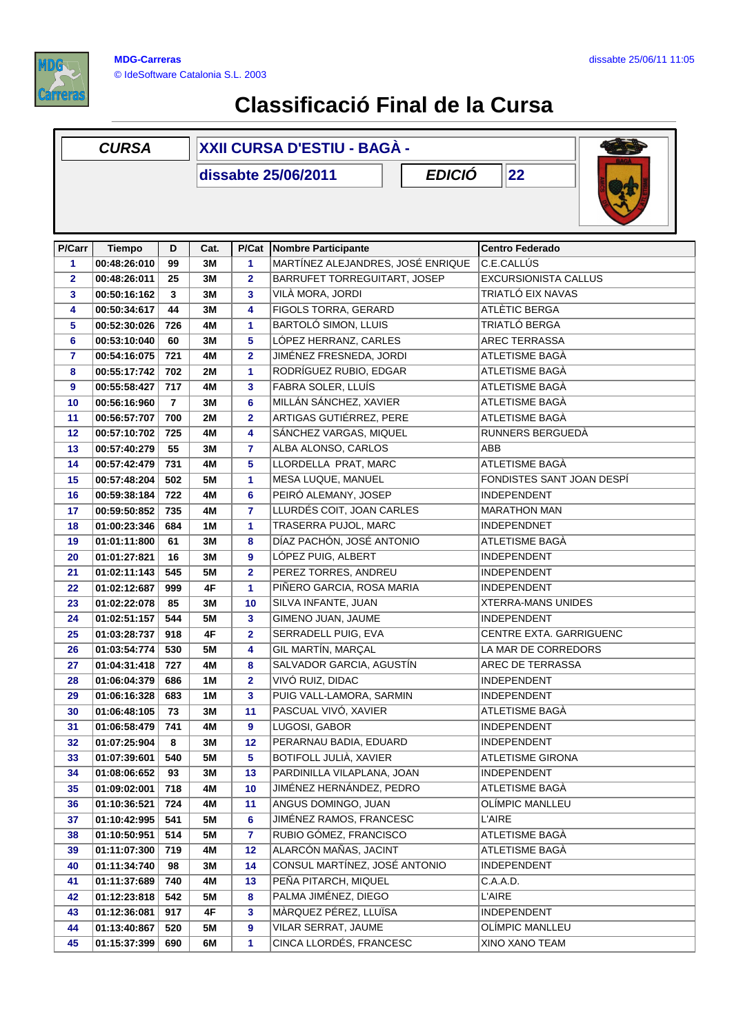

## **Classificació Final de la Cursa**

| <b>CURSA</b>                                 |               |                | XXII CURSA D'ESTIU - BAGÀ - |                |                                   |                             |  |  |  |
|----------------------------------------------|---------------|----------------|-----------------------------|----------------|-----------------------------------|-----------------------------|--|--|--|
| <b>EDICIÓ</b><br> 22 <br>dissabte 25/06/2011 |               |                |                             |                |                                   |                             |  |  |  |
| <b>P/Carr</b>                                | <b>Tiempo</b> | D              | Cat.                        |                | P/Cat Nombre Participante         | <b>Centro Federado</b>      |  |  |  |
| $\mathbf{1}$                                 | 00:48:26:010  | 99             | 3M                          | 1              | MARTÍNEZ ALEJANDRES, JOSÉ ENRIQUE | C.E.CALLÚS                  |  |  |  |
| $\overline{\mathbf{2}}$                      | 00:48:26:011  | 25             | 3M                          | $\overline{2}$ | BARRUFET TORREGUITART, JOSEP      | <b>EXCURSIONISTA CALLUS</b> |  |  |  |
| 3                                            | 00:50:16:162  | 3              | 3M                          | 3              | VILÀ MORA, JORDI                  | TRIATLÓ EIX NAVAS           |  |  |  |
| 4                                            | 00:50:34:617  | 44             | 3M                          | 4              | <b>FIGOLS TORRA, GERARD</b>       | ATLÈTIC BERGA               |  |  |  |
| 5                                            | 00:52:30:026  | 726            | 4M                          | 1              | <b>BARTOLÓ SIMON, LLUIS</b>       | TRIATLÓ BERGA               |  |  |  |
| 6                                            | 00:53:10:040  | 60             | 3M                          | 5              | LÓPEZ HERRANZ, CARLES             | <b>AREC TERRASSA</b>        |  |  |  |
| $\overline{7}$                               | 00:54:16:075  | 721            | 4M                          | $\overline{2}$ | JIMÉNEZ FRESNEDA, JORDI           | <b>ATLETISME BAGÀ</b>       |  |  |  |
| 8                                            | 00:55:17:742  | 702            | 2M                          | 1              | RODRÍGUEZ RUBIO, EDGAR            | ATLETISME BAGÀ              |  |  |  |
| 9                                            | 00:55:58:427  | 717            | 4M                          | 3              | FABRA SOLER, LLUÍS                | ATLETISME BAGÀ              |  |  |  |
| 10                                           | 00:56:16:960  | $\overline{7}$ | 3M                          | 6              | MILLÁN SÁNCHEZ, XAVIER            | ATLETISME BAGÀ              |  |  |  |
| 11                                           | 00:56:57:707  | 700            | <b>2M</b>                   | $\overline{2}$ | ARTIGAS GUTIÉRREZ, PERE           | ATLETISME BAGÀ              |  |  |  |
| 12                                           | 00:57:10:702  | 725            | 4M                          | 4              | SÁNCHEZ VARGAS, MIQUEL            | RUNNERS BERGUEDÀ            |  |  |  |
| 13                                           | 00:57:40:279  | 55             | 3М                          | 7              | ALBA ALONSO, CARLOS               | ABB                         |  |  |  |
| 14                                           | 00:57:42:479  | 731            | 4M                          | 5              | LLORDELLA PRAT, MARC              | ATLETISME BAGÀ              |  |  |  |
| 15                                           | 00:57:48:204  | 502            | <b>5M</b>                   | 1              | MESA LUQUE, MANUEL                | FONDISTES SANT JOAN DESPÍ   |  |  |  |
| 16                                           | 00:59:38:184  | 722            | 4M                          | 6              | PEIRÓ ALEMANY, JOSEP              | <b>INDEPENDENT</b>          |  |  |  |
| 17                                           | 00:59:50:852  | 735            | 4M                          | $\overline{7}$ | LLURDÉS COIT, JOAN CARLES         | <b>MARATHON MAN</b>         |  |  |  |
| 18                                           | 01:00:23:346  | 684            | 1M                          | 1              | TRASERRA PUJOL, MARC              | <b>INDEPENDNET</b>          |  |  |  |
| 19                                           | 01:01:11:800  | 61             | 3M                          | 8              | DÍAZ PACHÓN, JOSÉ ANTONIO         | ATLETISME BAGÀ              |  |  |  |
| 20                                           | 01:01:27:821  | 16             | 3M                          | 9              | LÓPEZ PUIG, ALBERT                | <b>INDEPENDENT</b>          |  |  |  |
| 21                                           | 01:02:11:143  | 545            | <b>5M</b>                   | $\overline{2}$ | PEREZ TORRES, ANDREU              | <b>INDEPENDENT</b>          |  |  |  |
| 22                                           | 01:02:12:687  | 999            | 4F                          | 1              | PIÑERO GARCIA, ROSA MARIA         | <b>INDEPENDENT</b>          |  |  |  |
| 23                                           | 01:02:22:078  | 85             | 3М                          | 10             | SILVA INFANTE, JUAN               | <b>XTERRA-MANS UNIDES</b>   |  |  |  |
| 24                                           | 01:02:51:157  | 544            | 5M                          | 3              | GIMENO JUAN, JAUME                | <b>INDEPENDENT</b>          |  |  |  |
| 25                                           | 01:03:28:737  | 918            | 4F                          | $\overline{2}$ | SERRADELL PUIG, EVA               | CENTRE EXTA. GARRIGUENC     |  |  |  |
| 26                                           | 01:03:54:774  | 530            | <b>5M</b>                   | 4              | GIL MARTÍN, MARÇAL                | LA MAR DE CORREDORS         |  |  |  |
| 27                                           | 01:04:31:418  | 727            | 4M                          | 8              | SALVADOR GARCIA, AGUSTÍN          | AREC DE TERRASSA            |  |  |  |
| 28                                           | 01:06:04:379  | 686            | 1M                          | $\overline{2}$ | VIVÓ RUIZ, DIDAC                  | INDEPENDENT                 |  |  |  |
| 29                                           | 01:06:16:328  | 683            | 1 M                         | 3              | PUIG VALL-LAMORA, SARMIN          | <b>INDEPENDENT</b>          |  |  |  |
| 30                                           | 01:06:48:105  | 73             | 3M                          | 11             | PASCUAL VIVÓ, XAVIER              | ATLETISME BAGÀ              |  |  |  |
| 31                                           | 01:06:58:479  | 741            | 4M                          | 9              | LUGOSI, GABOR                     | <b>INDEPENDENT</b>          |  |  |  |
| 32                                           | 01:07:25:904  | 8              | 3M                          | 12             | PERARNAU BADIA, EDUARD            | <b>INDEPENDENT</b>          |  |  |  |
| 33                                           | 01:07:39:601  | 540            | 5M                          | 5              | BOTIFOLL JULIÀ, XAVIER            | <b>ATLETISME GIRONA</b>     |  |  |  |
| 34                                           | 01:08:06:652  | 93             | 3M                          | 13             | PARDINILLA VILAPLANA, JOAN        | <b>INDEPENDENT</b>          |  |  |  |
| 35                                           | 01:09:02:001  | 718            | 4M                          | 10             | JIMÉNEZ HERNÁNDEZ, PEDRO          | ATLETISME BAGÀ              |  |  |  |
| 36                                           | 01:10:36:521  | 724            | 4M                          | 11             | ANGUS DOMINGO, JUAN               | OLÍMPIC MANLLEU             |  |  |  |
| 37                                           | 01:10:42:995  | 541            | 5M                          | 6              | JIMÉNEZ RAMOS, FRANCESC           | <b>L'AIRE</b>               |  |  |  |
| 38                                           | 01:10:50:951  | 514            | <b>5M</b>                   | $\overline{7}$ | RUBIO GÓMEZ, FRANCISCO            | ATLETISME BAGÀ              |  |  |  |
| 39                                           | 01:11:07:300  | 719            | 4M                          | 12             | ALARCÓN MAÑAS, JACINT             | ATLETISME BAGÀ              |  |  |  |
| 40                                           | 01:11:34:740  | 98             | 3M                          | 14             | CONSUL MARTÍNEZ, JOSÉ ANTONIO     | <b>INDEPENDENT</b>          |  |  |  |
| 41                                           | 01:11:37:689  | 740            | 4M                          | 13             | PEÑA PITARCH, MIQUEL              | C.A.A.D.                    |  |  |  |
| 42                                           | 01:12:23:818  | 542            | 5M                          | 8              | PALMA JIMÉNEZ, DIEGO              | <b>L'AIRE</b>               |  |  |  |
| 43                                           | 01:12:36:081  | 917            | 4F                          | 3              | MÀRQUEZ PÉREZ, LLUÏSA             | <b>INDEPENDENT</b>          |  |  |  |
| 44                                           | 01:13:40:867  | 520            | 5M                          | 9              | VILAR SERRAT, JAUME               | OLÍMPIC MANLLEU             |  |  |  |
| 45                                           | 01:15:37:399  | 690            | 6M                          | $\mathbf{1}$   | CINCA LLORDÉS, FRANCESC           | XINO XANO TEAM              |  |  |  |